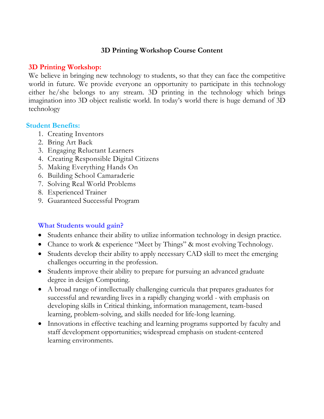# **3D Printing Workshop Course Content**

#### **3D Printing Workshop:**

We believe in bringing new technology to students, so that they can face the competitive world in future. We provide everyone an opportunity to participate in this technology either he/she belongs to any stream. 3D printing in the technology which brings imagination into 3D object realistic world. In today's world there is huge demand of 3D technology

#### **Student Benefits:**

- 1. Creating Inventors
- 2. Bring Art Back
- 3. Engaging Reluctant Learners
- 4. Creating Responsible Digital Citizens
- 5. Making Everything Hands On
- 6. Building School Camaraderie
- 7. Solving Real World Problems
- 8. Experienced Trainer
- 9. Guaranteed Successful Program

#### **What Students would gain?**

- Students enhance their ability to utilize information technology in design practice.
- Chance to work & experience "Meet by Things" & most evolving Technology.
- Students develop their ability to apply necessary CAD skill to meet the emerging challenges occurring in the profession.
- Students improve their ability to prepare for pursuing an advanced graduate degree in design Computing.
- A broad range of intellectually challenging curricula that prepares graduates for successful and rewarding lives in a rapidly changing world - with emphasis on developing skills in Critical thinking, information management, team-based learning, problem-solving, and skills needed for life-long learning.
- Innovations in effective teaching and learning programs supported by faculty and staff development opportunities; widespread emphasis on student-centered learning environments.